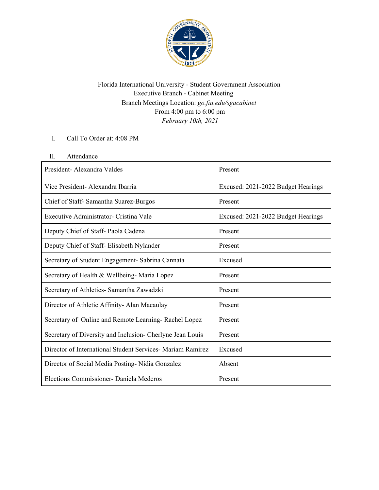

Florida International University - Student Government Association Executive Branch - Cabinet Meeting Branch Meetings Location: *go.fiu.edu/sgacabinet* From 4:00 pm to 6:00 pm *February 10th, 2021*

I. Call To Order at: 4:08 PM

## II. Attendance

| President - Alexandra Valdes                               | Present                            |
|------------------------------------------------------------|------------------------------------|
| Vice President- Alexandra Ibarria                          | Excused: 2021-2022 Budget Hearings |
| Chief of Staff-Samantha Suarez-Burgos                      | Present                            |
| Executive Administrator- Cristina Vale                     | Excused: 2021-2022 Budget Hearings |
| Deputy Chief of Staff-Paola Cadena                         | Present                            |
| Deputy Chief of Staff- Elisabeth Nylander                  | Present                            |
| Secretary of Student Engagement- Sabrina Cannata           | Excused                            |
| Secretary of Health & Wellbeing-Maria Lopez                | Present                            |
| Secretary of Athletics- Samantha Zawadzki                  | Present                            |
| Director of Athletic Affinity-Alan Macaulay                | Present                            |
| Secretary of Online and Remote Learning-Rachel Lopez       | Present                            |
| Secretary of Diversity and Inclusion- Cherlyne Jean Louis  | Present                            |
| Director of International Student Services- Mariam Ramirez | Excused                            |
| Director of Social Media Posting-Nidia Gonzalez            | Absent                             |
| Elections Commissioner - Daniela Mederos                   | Present                            |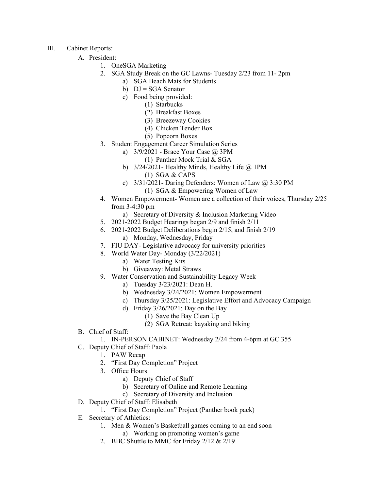- III. Cabinet Reports:
	- A. President:
		- 1. OneSGA Marketing
		- 2. SGA Study Break on the GC Lawns- Tuesday 2/23 from 11- 2pm
			- a) SGA Beach Mats for Students
			- b)  $DJ = SGA$  Senator
			- c) Food being provided:
				- (1) Starbucks
					- (2) Breakfast Boxes
					- (3) Breezeway Cookies
					- (4) Chicken Tender Box
					- (5) Popcorn Boxes
		- 3. Student Engagement Career Simulation Series
			- a) 3/9/2021 Brace Your Case @ 3PM
				- (1) Panther Mock Trial & SGA
			- b)  $3/24/2021$  Healthy Minds, Healthy Life  $\omega$  1PM (1) SGA & CAPS
			- c)  $3/31/2021$  Daring Defenders: Women of Law  $\omega$  3:30 PM (1) SGA & Empowering Women of Law
		- 4. Women Empowerment- Women are a collection of their voices, Thursday 2/25 from 3-4:30 pm
			- a) Secretary of Diversity & Inclusion Marketing Video
		- 5. 2021-2022 Budget Hearings began 2/9 and finish 2/11
		- 6. 2021-2022 Budget Deliberations begin 2/15, and finish 2/19 a) Monday, Wednesday, Friday
		- 7. FIU DAY- Legislative advocacy for university priorities
		- 8. World Water Day- Monday (3/22/2021)
			- a) Water Testing Kits
			- b) Giveaway: Metal Straws
		- 9. Water Conservation and Sustainability Legacy Week
			- a) Tuesday 3/23/2021: Dean H.
			- b) Wednesday 3/24/2021: Women Empowerment
			- c) Thursday 3/25/2021: Legislative Effort and Advocacy Campaign
			- d) Friday 3/26/2021: Day on the Bay
				- (1) Save the Bay Clean Up
				- (2) SGA Retreat: kayaking and biking
	- B. Chief of Staff:
		- 1. IN-PERSON CABINET: Wednesday 2/24 from 4-6pm at GC 355
	- C. Deputy Chief of Staff: Paola
		- 1. PAW Recap
		- 2. "First Day Completion" Project
		- 3. Office Hours
			- a) Deputy Chief of Staff
			- b) Secretary of Online and Remote Learning
			- c) Secretary of Diversity and Inclusion
	- D. Deputy Chief of Staff: Elisabeth
		- 1. "First Day Completion" Project (Panther book pack)
	- E. Secretary of Athletics:
		- 1. Men & Women's Basketball games coming to an end soon
			- a) Working on promoting women's game
		- 2. BBC Shuttle to MMC for Friday 2/12 & 2/19